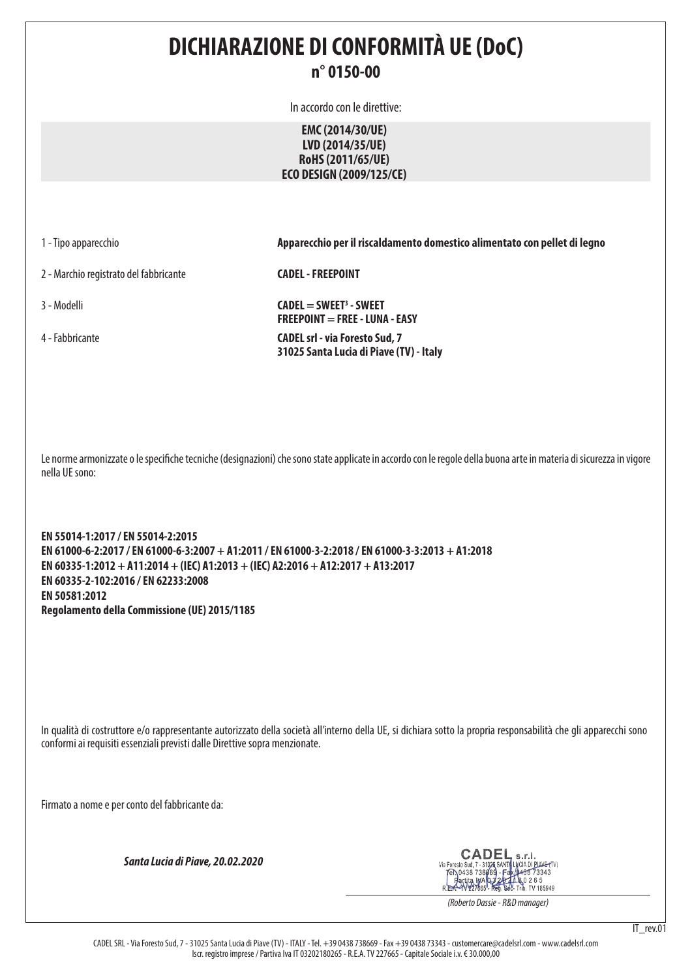#### **DICHIARAZIONE DI CONFORMITÀ UE (DoC) n° 0150-00**

In accordo con le direttive:

**EMC (2014/30/UE) LVD (2014/35/UE) RoHS (2011/65/UE) ECO DESIGN (2009/125/CE)**

1 - Tipo apparecchio **Apparecchio per il riscaldamento domestico alimentato con pellet di legno**

2 - Marchio registrato del fabbricante **CADEL - FREEPOINT**

3 - Modelli **CADEL = SWEET3 - SWEET FREEPOINT = FREE - LUNA - EASY** 4 - Fabbricante **CADEL srl - via Foresto Sud, 7 31025 Santa Lucia di Piave (TV) - Italy**

Le norme armonizzate o le specifiche tecniche (designazioni) che sono state applicate in accordo con le regole della buona arte in materia di sicurezza in vigore nella UE sono:

**EN 55014-1:2017 / EN 55014-2:2015 EN 61000-6-2:2017 / EN 61000-6-3:2007 + A1:2011 / EN 61000-3-2:2018 / EN 61000-3-3:2013 + A1:2018 EN 60335-1:2012 + A11:2014 + (IEC) A1:2013 + (IEC) A2:2016 + A12:2017 + A13:2017 EN 60335-2-102:2016 / EN 62233:2008 EN 50581:2012 Regolamento della Commissione (UE) 2015/1185**

In qualità di costruttore e/o rappresentante autorizzato della società all'interno della UE, si dichiara sotto la propria responsabilità che gli apparecchi sono conformi ai requisiti essenziali previsti dalle Direttive sopra menzionate.

Firmato a nome e per conto del fabbricante da:

*Santa Lucia di Piave, 20.02.2020*

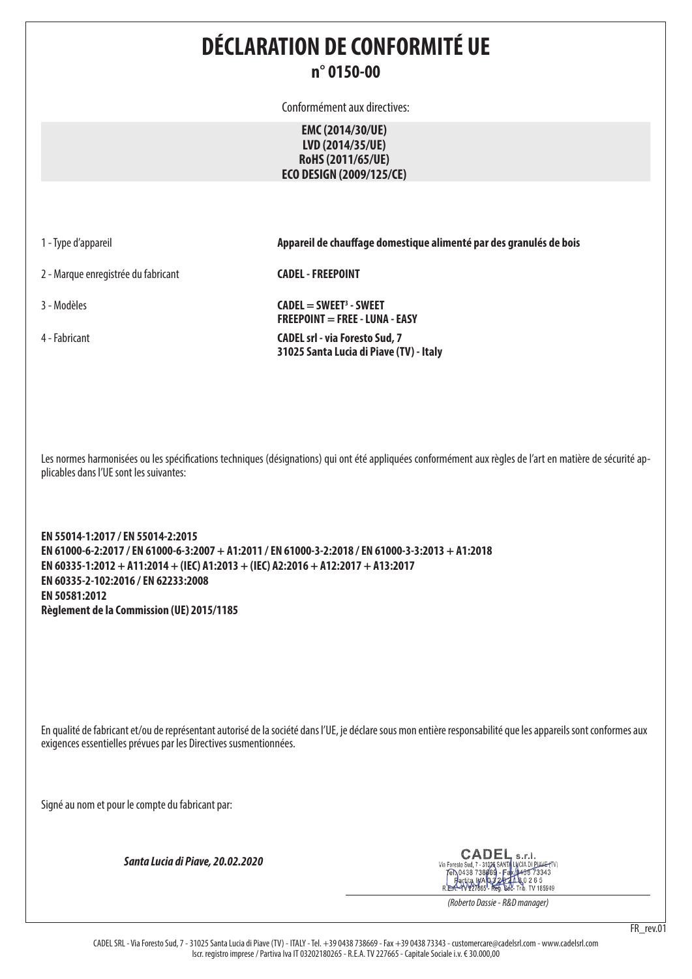### **DÉCLARATION DE CONFORMITÉ UE n° 0150-00**

Conformément aux directives:

**EMC (2014/30/UE) LVD (2014/35/UE) RoHS (2011/65/UE) ECO DESIGN (2009/125/CE)**

2 - Marque enregistrée du fabricant **CADEL - FREEPOINT**

1 - Type d'appareil **Appareil de chauffage domestique alimenté par des granulés de bois**

3 - Modèles **CADEL = SWEET3 - SWEET FREEPOINT = FREE - LUNA - EASY** 4 - Fabricant **CADEL srl - via Foresto Sud, 7 31025 Santa Lucia di Piave (TV) - Italy**

Les normes harmonisées ou les spécifications techniques (désignations) qui ont été appliquées conformément aux règles de l'art en matière de sécurité applicables dans l'UE sont les suivantes:

**EN 55014-1:2017 / EN 55014-2:2015 EN 61000-6-2:2017 / EN 61000-6-3:2007 + A1:2011 / EN 61000-3-2:2018 / EN 61000-3-3:2013 + A1:2018 EN 60335-1:2012 + A11:2014 + (IEC) A1:2013 + (IEC) A2:2016 + A12:2017 + A13:2017 EN 60335-2-102:2016 / EN 62233:2008 EN 50581:2012 Règlement de la Commission (UE) 2015/1185**

En qualité de fabricant et/ou de représentant autorisé de la société dans l'UE, je déclare sous mon entière responsabilité que les appareils sont conformes aux exigences essentielles prévues par les Directives susmentionnées.

Signé au nom et pour le compte du fabricant par:

*Santa Lucia di Piave, 20.02.2020*

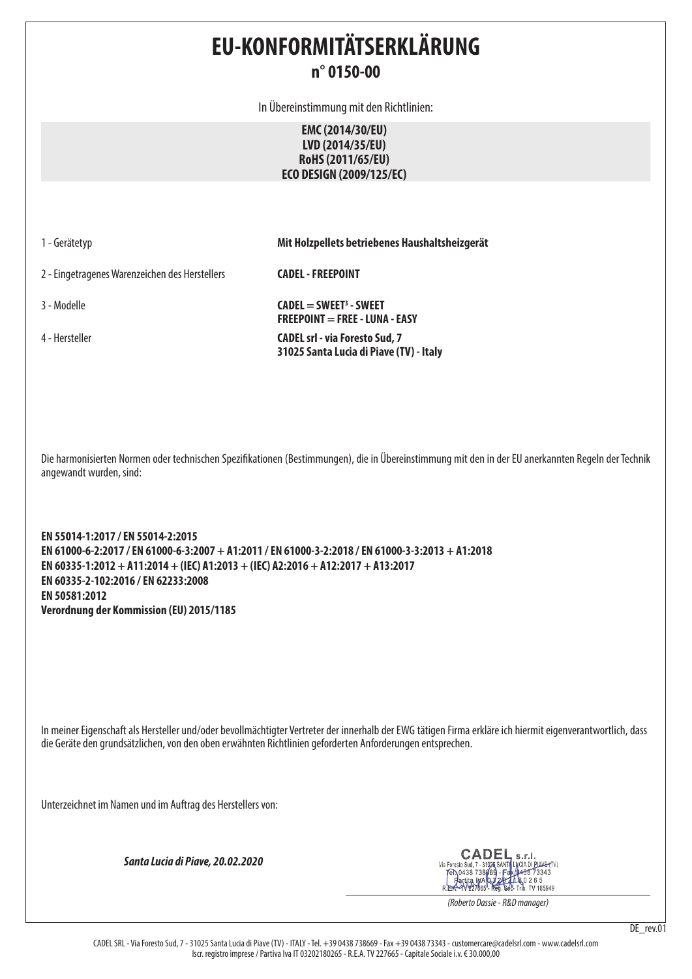# **EU-KONFORMITÄTSERKLÄRUNG n° 0150-00**

In Übereinstimmung mit den Richtlinien:

**EMC (2014/30/EU) LVD (2014/35/EU) RoHS (2011/65/EU) ECO DESIGN (2009/125/EC)**

|  |  | 1 - Gerätetyp |  |  |  |  |
|--|--|---------------|--|--|--|--|
|--|--|---------------|--|--|--|--|

1 - Gerätetyp **Mit Holzpellets betriebenes Haushaltsheizgerät**

2 - Eingetragenes Warenzeichen des Herstellers **CADEL - FREEPOINT**

3 - Modelle **CADEL = SWEET3 - SWEET FREEPOINT = FREE - LUNA - EASY** 4 - Hersteller **CADEL srl - via Foresto Sud, 7 31025 Santa Lucia di Piave (TV) - Italy**

Die harmonisierten Normen oder technischen Spezifikationen (Bestimmungen), die in Übereinstimmung mit den in der EU anerkannten Regeln der Technik angewandt wurden, sind:

**EN 55014-1:2017 / EN 55014-2:2015 EN 61000-6-2:2017 / EN 61000-6-3:2007 + A1:2011 / EN 61000-3-2:2018 / EN 61000-3-3:2013 + A1:2018 EN 60335-1:2012 + A11:2014 + (IEC) A1:2013 + (IEC) A2:2016 + A12:2017 + A13:2017 EN 60335-2-102:2016 / EN 62233:2008 EN 50581:2012 Verordnung der Kommission (EU) 2015/1185**

In meiner Eigenschaft als Hersteller und/oder bevollmächtigter Vertreter der innerhalb der EWG tätigen Firma erkläre ich hiermit eigenverantwortlich, dass die Geräte den grundsätzlichen, von den oben erwähnten Richtlinien geforderten Anforderungen entsprechen.

Unterzeichnet im Namen und im Auftrag des Herstellers von:

*Santa Lucia di Piave, 20.02.2020*

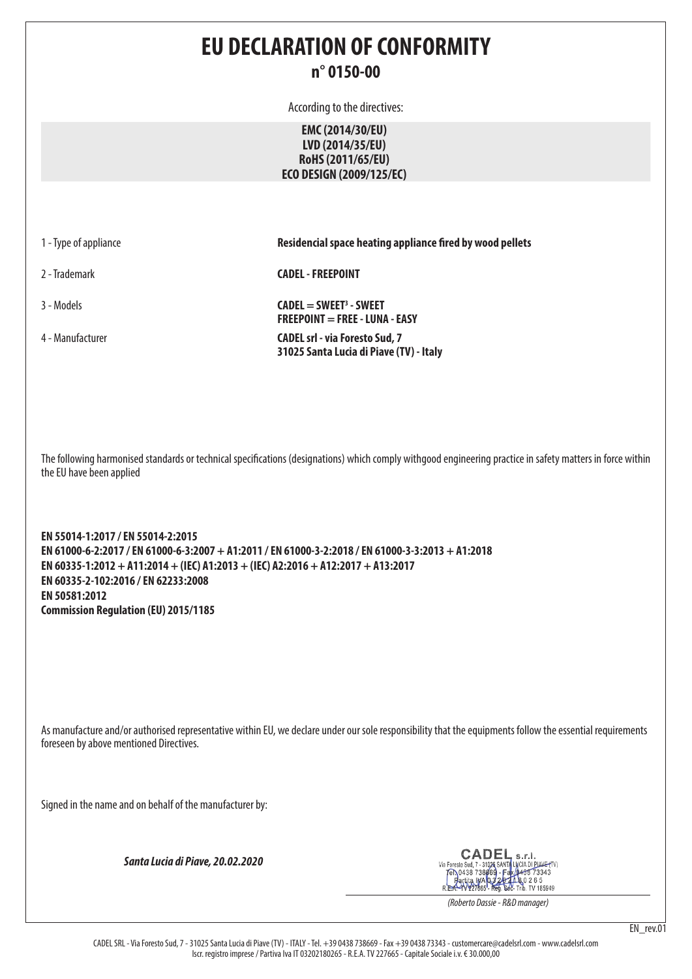### **EU DECLARATION OF CONFORMITY n° 0150-00**

According to the directives:

**EMC (2014/30/EU) LVD (2014/35/EU) RoHS (2011/65/EU) ECO DESIGN (2009/125/EC)**

| 1 - Type of appliance |  |  |  |
|-----------------------|--|--|--|
|-----------------------|--|--|--|

**Residencial space heating appliance fired by wood pellets** 

2 - Trademark **CADEL - FREEPOINT**

3 - Models **CADEL = SWEET3 - SWEET FREEPOINT = FREE - LUNA - EASY** 4 - Manufacturer **CADEL srl - via Foresto Sud, 7 31025 Santa Lucia di Piave (TV) - Italy**

The following harmonised standards or technical specifications (designations) which comply withgood engineering practice in safety matters in force within the EU have been applied

**EN 55014-1:2017 / EN 55014-2:2015 EN 61000-6-2:2017 / EN 61000-6-3:2007 + A1:2011 / EN 61000-3-2:2018 / EN 61000-3-3:2013 + A1:2018 EN 60335-1:2012 + A11:2014 + (IEC) A1:2013 + (IEC) A2:2016 + A12:2017 + A13:2017 EN 60335-2-102:2016 / EN 62233:2008 EN 50581:2012 Commission Regulation (EU) 2015/1185**

As manufacture and/or authorised representative within EU, we declare under our sole responsibility that the equipments follow the essential requirements foreseen by above mentioned Directives.

Signed in the name and on behalf of the manufacturer by:

*Santa Lucia di Piave, 20.02.2020*

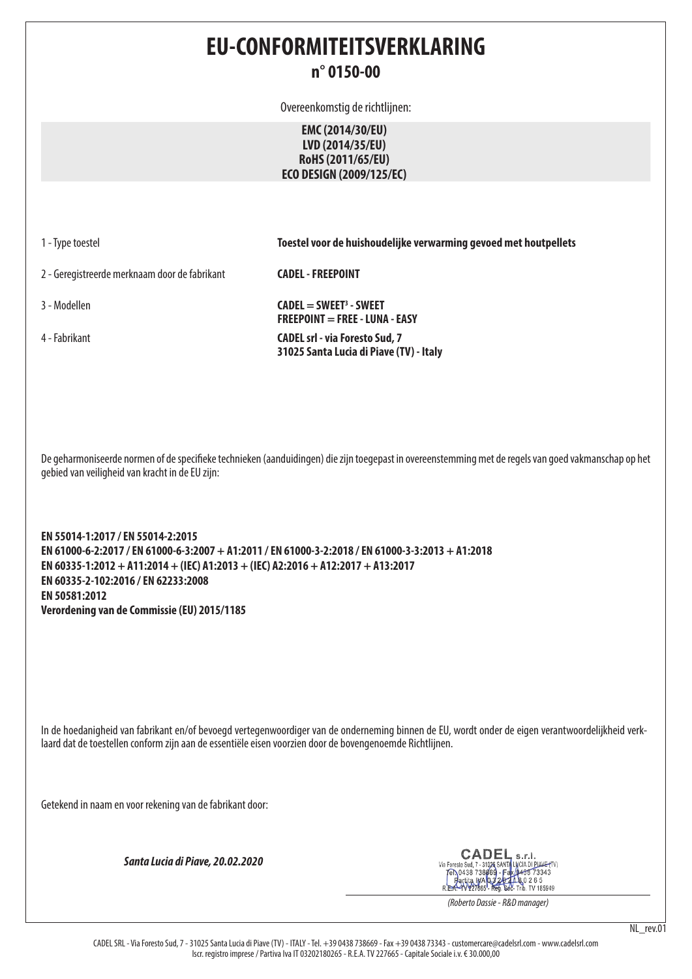#### **EU-CONFORMITEITSVERKLARING n° 0150-00**

Overeenkomstig de richtlijnen:

**EMC (2014/30/EU) LVD (2014/35/EU) RoHS (2011/65/EU) ECO DESIGN (2009/125/EC)**

1 - Type toestel **Toestel voor de huishoudelijke verwarming gevoed met houtpellets**

2 - Geregistreerde merknaam door de fabrikant **CADEL - FREEPOINT**

3 - Modellen **CADEL = SWEET3 - SWEET FREEPOINT = FREE - LUNA - EASY** 4 - Fabrikant **CADEL srl - via Foresto Sud, 7 31025 Santa Lucia di Piave (TV) - Italy**

De geharmoniseerde normen of de specifieke technieken (aanduidingen) die zijn toegepast in overeenstemming met de regels van goed vakmanschap op het gebied van veiligheid van kracht in de EU zijn:

**EN 55014-1:2017 / EN 55014-2:2015 EN 61000-6-2:2017 / EN 61000-6-3:2007 + A1:2011 / EN 61000-3-2:2018 / EN 61000-3-3:2013 + A1:2018 EN 60335-1:2012 + A11:2014 + (IEC) A1:2013 + (IEC) A2:2016 + A12:2017 + A13:2017 EN 60335-2-102:2016 / EN 62233:2008 EN 50581:2012 Verordening van de Commissie (EU) 2015/1185**

In de hoedanigheid van fabrikant en/of bevoegd vertegenwoordiger van de onderneming binnen de EU, wordt onder de eigen verantwoordelijkheid verklaard dat de toestellen conform zijn aan de essentiële eisen voorzien door de bovengenoemde Richtlijnen.

Getekend in naam en voor rekening van de fabrikant door:

*Santa Lucia di Piave, 20.02.2020*

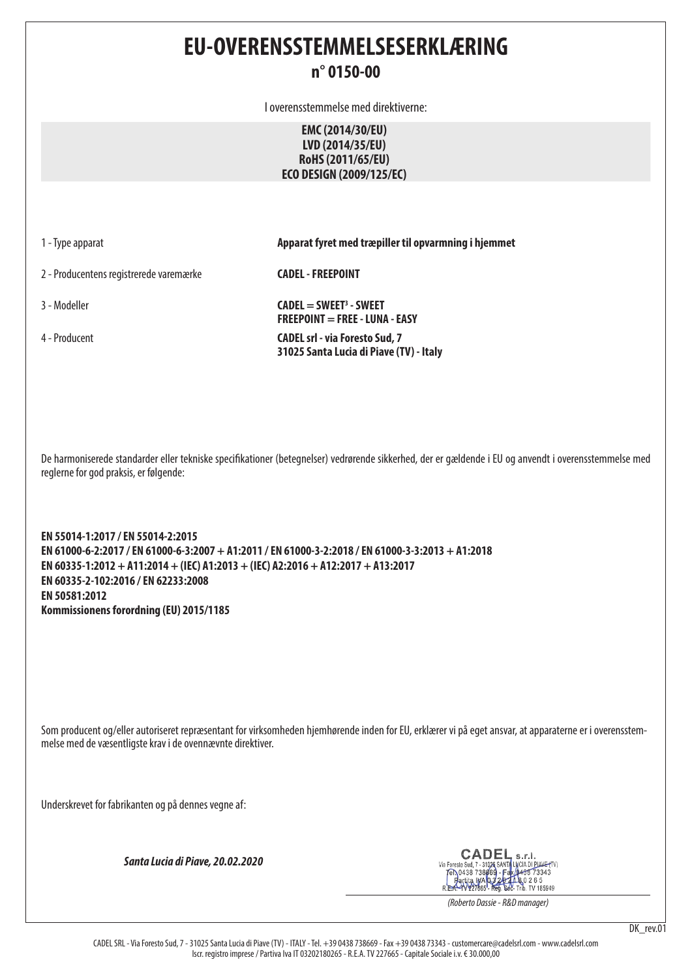#### **EU-OVERENSSTEMMELSESERKLÆRING n° 0150-00**

I overensstemmelse med direktiverne:

**EMC (2014/30/EU) LVD (2014/35/EU) RoHS (2011/65/EU) ECO DESIGN (2009/125/EC)**

1 - Type apparat **Apparat fyret med træpiller til opvarmning i hjemmet**

2 - Producentens registrerede varemærke **CADEL - FREEPOINT**

3 - Modeller **CADEL = SWEET3 - SWEET FREEPOINT = FREE - LUNA - EASY** 4 - Producent **CADEL srl - via Foresto Sud, 7 31025 Santa Lucia di Piave (TV) - Italy**

De harmoniserede standarder eller tekniske specifikationer (betegnelser) vedrørende sikkerhed, der er gældende i EU og anvendt i overensstemmelse med reglerne for god praksis, er følgende:

**EN 55014-1:2017 / EN 55014-2:2015 EN 61000-6-2:2017 / EN 61000-6-3:2007 + A1:2011 / EN 61000-3-2:2018 / EN 61000-3-3:2013 + A1:2018 EN 60335-1:2012 + A11:2014 + (IEC) A1:2013 + (IEC) A2:2016 + A12:2017 + A13:2017 EN 60335-2-102:2016 / EN 62233:2008 EN 50581:2012 Kommissionens forordning (EU) 2015/1185**

Som producent og/eller autoriseret repræsentant for virksomheden hjemhørende inden for EU, erklærer vi på eget ansvar, at apparaterne er i overensstemmelse med de væsentligste krav i de ovennævnte direktiver.

Underskrevet for fabrikanten og på dennes vegne af:

*Santa Lucia di Piave, 20.02.2020*

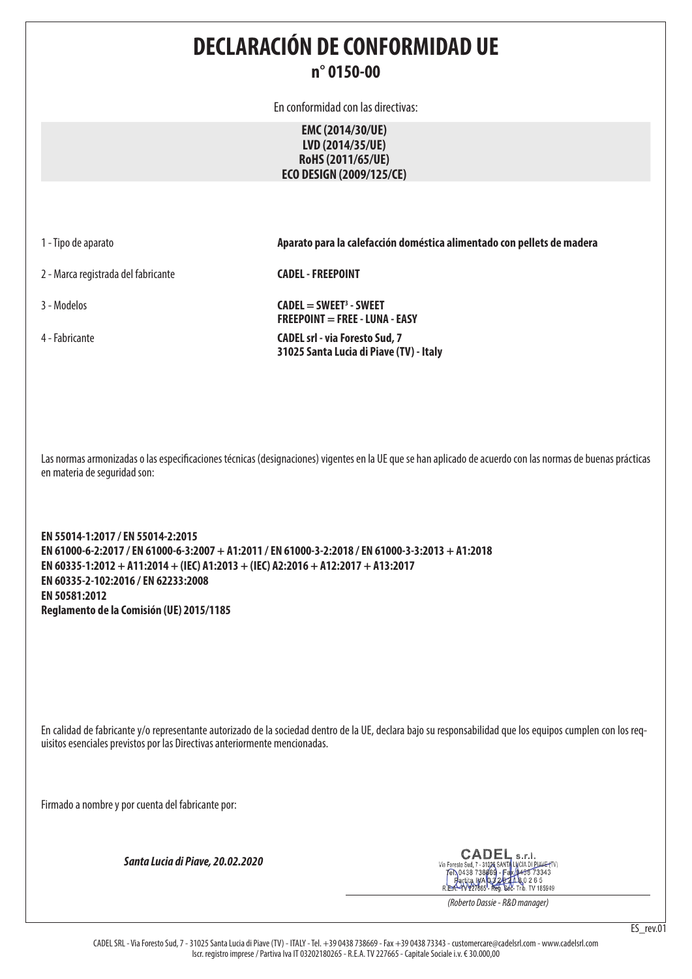#### **DECLARACIÓN DE CONFORMIDAD UE n° 0150-00**

En conformidad con las directivas:

**EMC (2014/30/UE) LVD (2014/35/UE) RoHS (2011/65/UE) ECO DESIGN (2009/125/CE)**

2 - Marca registrada del fabricante **CADEL - FREEPOINT**

1 - Tipo de aparato **Aparato para la calefacción doméstica alimentado con pellets de madera**

3 - Modelos **CADEL = SWEET3 - SWEET FREEPOINT = FREE - LUNA - EASY**

4 - Fabricante **CADEL srl - via Foresto Sud, 7 31025 Santa Lucia di Piave (TV) - Italy**

Las normas armonizadas o las especificaciones técnicas (designaciones) vigentes en la UE que se han aplicado de acuerdo con las normas de buenas prácticas en materia de seguridad son:

**EN 55014-1:2017 / EN 55014-2:2015 EN 61000-6-2:2017 / EN 61000-6-3:2007 + A1:2011 / EN 61000-3-2:2018 / EN 61000-3-3:2013 + A1:2018 EN 60335-1:2012 + A11:2014 + (IEC) A1:2013 + (IEC) A2:2016 + A12:2017 + A13:2017 EN 60335-2-102:2016 / EN 62233:2008 EN 50581:2012 Reglamento de la Comisión (UE) 2015/1185**

En calidad de fabricante y/o representante autorizado de la sociedad dentro de la UE, declara bajo su responsabilidad que los equipos cumplen con los requisitos esenciales previstos por las Directivas anteriormente mencionadas.

Firmado a nombre y por cuenta del fabricante por:

*Santa Lucia di Piave, 20.02.2020*

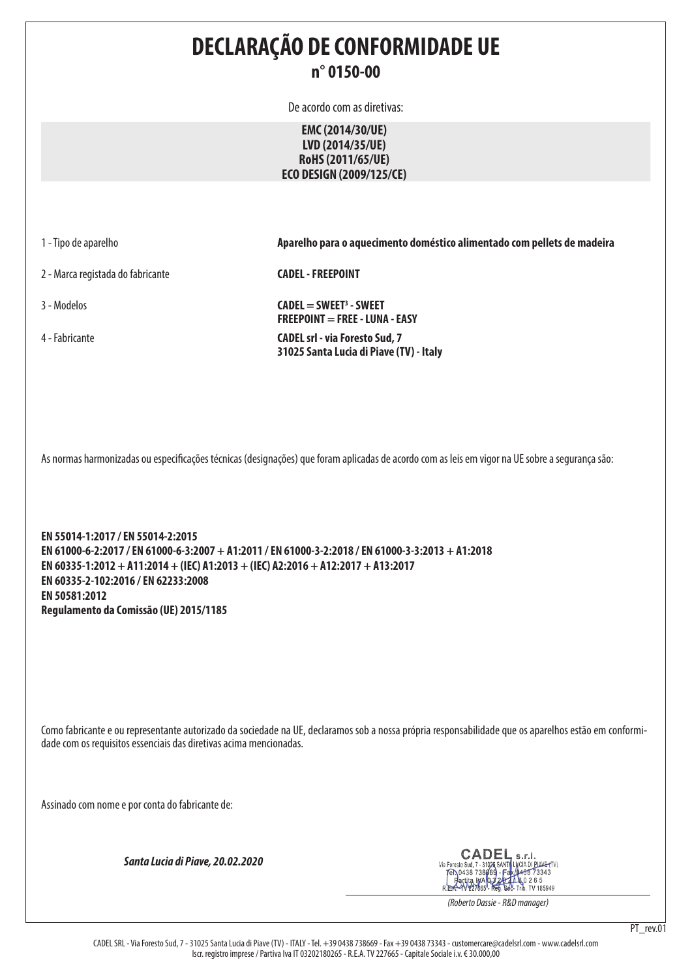## **DECLARAÇÃO DE CONFORMIDADE UE n° 0150-00**

De acordo com as diretivas:

**EMC (2014/30/UE) LVD (2014/35/UE) RoHS (2011/65/UE) ECO DESIGN (2009/125/CE)**

2 - Marca registada do fabricante **CADEL - FREEPOINT**

1 - Tipo de aparelho **Aparelho para o aquecimento doméstico alimentado com pellets de madeira**

3 - Modelos **CADEL = SWEET3 - SWEET FREEPOINT = FREE - LUNA - EASY** 4 - Fabricante **CADEL srl - via Foresto Sud, 7 31025 Santa Lucia di Piave (TV) - Italy**

As normas harmonizadas ou especificações técnicas (designações) que foram aplicadas de acordo com as leis em vigor na UE sobre a segurança são:

**EN 55014-1:2017 / EN 55014-2:2015 EN 61000-6-2:2017 / EN 61000-6-3:2007 + A1:2011 / EN 61000-3-2:2018 / EN 61000-3-3:2013 + A1:2018 EN 60335-1:2012 + A11:2014 + (IEC) A1:2013 + (IEC) A2:2016 + A12:2017 + A13:2017 EN 60335-2-102:2016 / EN 62233:2008 EN 50581:2012 Regulamento da Comissão (UE) 2015/1185**

Como fabricante e ou representante autorizado da sociedade na UE, declaramos sob a nossa própria responsabilidade que os aparelhos estão em conformidade com os requisitos essenciais das diretivas acima mencionadas.

Assinado com nome e por conta do fabricante de:

*Santa Lucia di Piave, 20.02.2020*

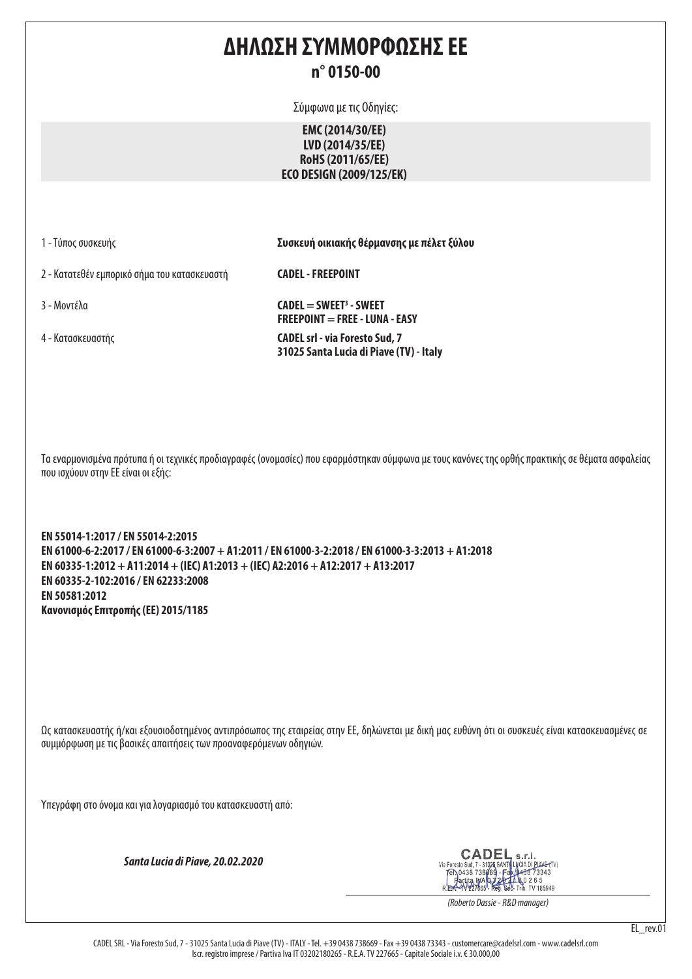#### **ΔΗΛΩΣΗ ΣΥΜΜΟΡΦΩΣΗΣ ΕΕ n° 0150-00**

Σύμφωνα με τις Οδηγίες:

**EMC (2014/30/EE) LVD (2014/35/EE) RoHS (2011/65/EE) ECO DESIGN (2009/125/EK)**

1 - Τύπος συσκευής **Συσκευή οικιακής θέρμανσης με πέλετ ξύλου**

2 - Κατατεθέν εμπορικό σήμα του κατασκευαστή **CADEL - FREEPOINT**

3 - Μοντέλα **CADEL = SWEET3 - SWEET FREEPOINT = FREE - LUNA - EASY** 4 - Κατασκευαστής **CADEL srl - via Foresto Sud, 7 31025 Santa Lucia di Piave (TV) - Italy**

Τα εναρμονισμένα πρότυπα ή οι τεχνικές προδιαγραφές (ονομασίες) που εφαρμόστηκαν σύμφωνα με τους κανόνες της ορθής πρακτικής σε θέματα ασφαλείας που ισχύουν στην ΕΕ είναι οι εξής:

**EN 55014-1:2017 / EN 55014-2:2015 EN 61000-6-2:2017 / EN 61000-6-3:2007 + A1:2011 / EN 61000-3-2:2018 / EN 61000-3-3:2013 + A1:2018 EN 60335-1:2012 + A11:2014 + (IEC) A1:2013 + (IEC) A2:2016 + A12:2017 + A13:2017 EN 60335-2-102:2016 / EN 62233:2008 EN 50581:2012 Κανονισμός Επιτροπής (ΕΕ) 2015/1185**

Ως κατασκευαστής ή/και εξουσιοδοτημένος αντιπρόσωπος της εταιρείας στην ΕΕ, δηλώνεται με δική μας ευθύνη ότι οι συσκευές είναι κατασκευασμένες σε συμμόρφωση με τις βασικές απαιτήσεις των προαναφερόμενων οδηγιών.

Υπεγράφη στο όνομα και για λογαριασμό του κατασκευαστή από:

*Santa Lucia di Piave, 20.02.2020*

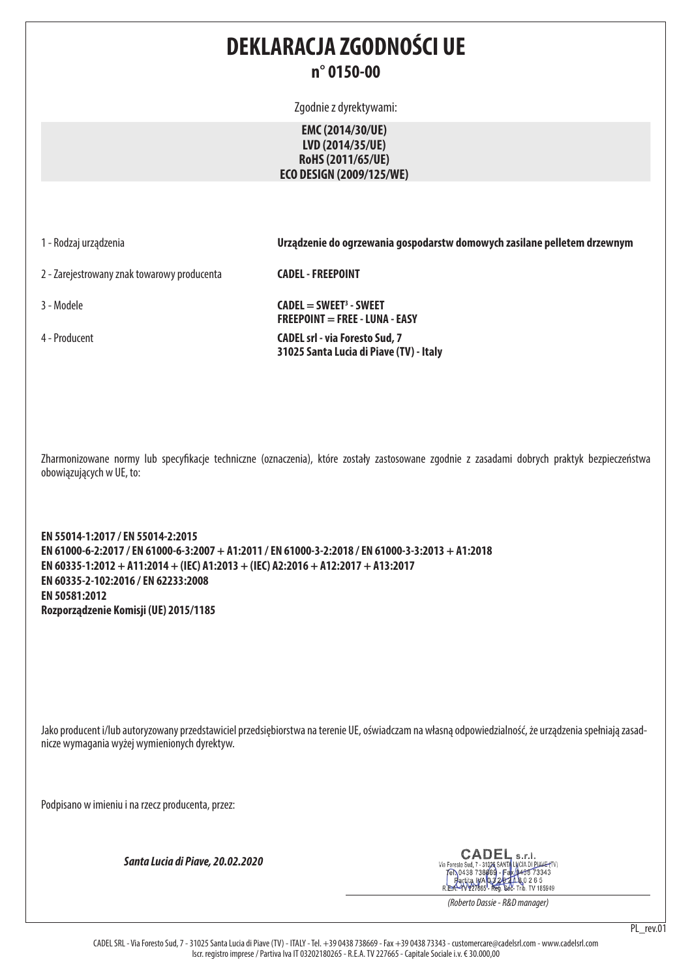### **DEKLARACJA ZGODNOŚCI UE n° 0150-00**

Zgodnie z dyrektywami:

**EMC (2014/30/UE) LVD (2014/35/UE) RoHS (2011/65/UE) ECO DESIGN (2009/125/WE)**

1 - Rodzaj urządzenia **Urządzenie do ogrzewania gospodarstw domowych zasilane pelletem drzewnym**

2 - Zarejestrowany znak towarowy producenta **CADEL - FREEPOINT**

3 - Modele **CADEL = SWEET3 - SWEET FREEPOINT = FREE - LUNA - EASY** 4 - Producent **CADEL srl - via Foresto Sud, 7 31025 Santa Lucia di Piave (TV) - Italy**

Zharmonizowane normy lub specyfikacje techniczne (oznaczenia), które zostały zastosowane zgodnie z zasadami dobrych praktyk bezpieczeństwa obowiązujących w UE, to:

**EN 55014-1:2017 / EN 55014-2:2015 EN 61000-6-2:2017 / EN 61000-6-3:2007 + A1:2011 / EN 61000-3-2:2018 / EN 61000-3-3:2013 + A1:2018 EN 60335-1:2012 + A11:2014 + (IEC) A1:2013 + (IEC) A2:2016 + A12:2017 + A13:2017 EN 60335-2-102:2016 / EN 62233:2008 EN 50581:2012 Rozporządzenie Komisji (UE) 2015/1185**

Jako producent i/lub autoryzowany przedstawiciel przedsiębiorstwa na terenie UE, oświadczam na własną odpowiedzialność, że urządzenia spełniają zasadnicze wymagania wyżej wymienionych dyrektyw.

Podpisano w imieniu i na rzecz producenta, przez:

*Santa Lucia di Piave, 20.02.2020*